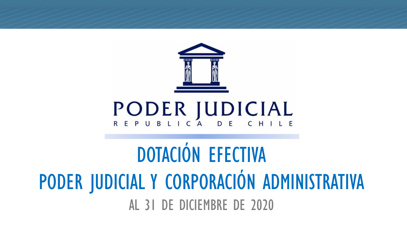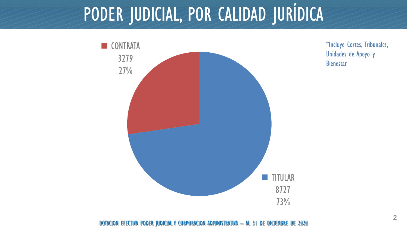# PODER JUDICIAL, POR CALIDAD JURÍDICA



\*Incluye Cortes, Tribunales, Unidades de Apoyo y **Bienestar**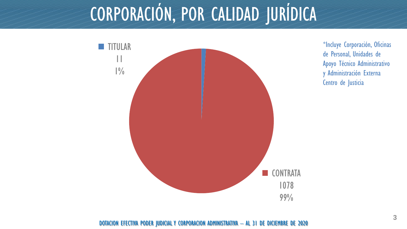#### CORPORACIÓN, POR CALIDAD JURÍDICA



\*Incluye Corporación, Oficinas de Personal, Unidades de Apoyo Técnico Administrativo y Administración Externa Centro de Justicia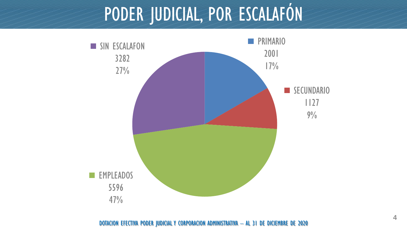### PODER JUDICIAL, POR ESCALAFÓN

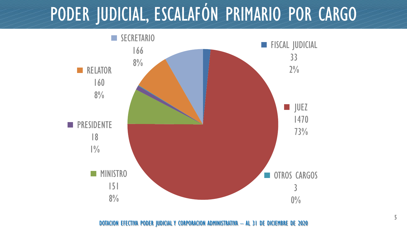## PODER JUDICIAL, ESCALAFÓN PRIMARIO POR CARGO

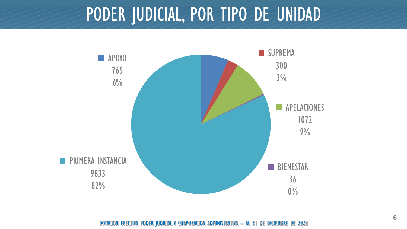#### PODER JUDICIAL, POR TIPO DE UNIDAD

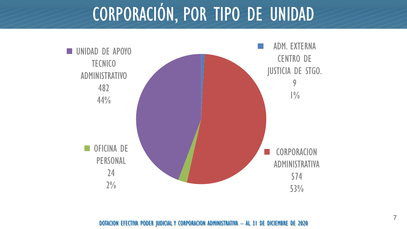## CORPORACIÓN, POR TIPO DE UNIDAD

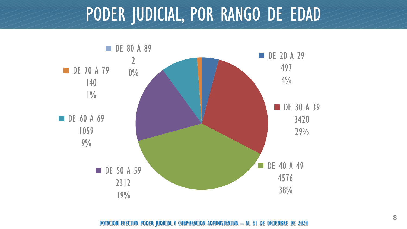#### PODER JUDICIAL, POR RANGO DE EDAD

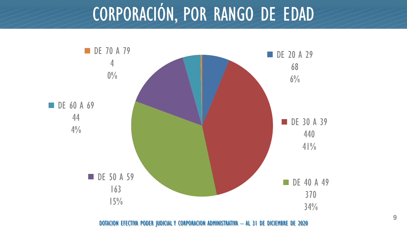## CORPORACIÓN, POR RANGO DE EDAD

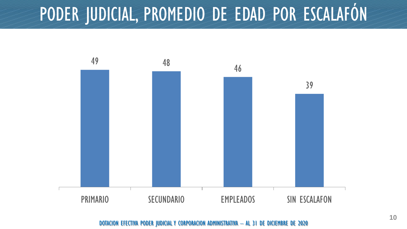#### PODER JUDICIAL, PROMEDIO DE EDAD POR ESCALAFÓN

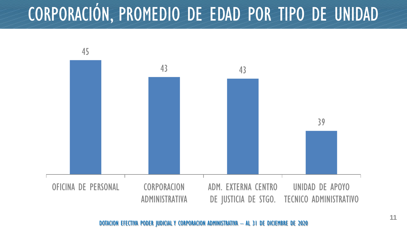#### CORPORACIÓN, PROMEDIO DE EDAD POR TIPO DE UNIDAD

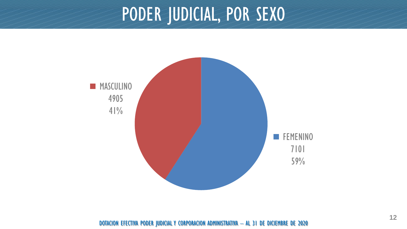#### PODER JUDICIAL, POR SEXO

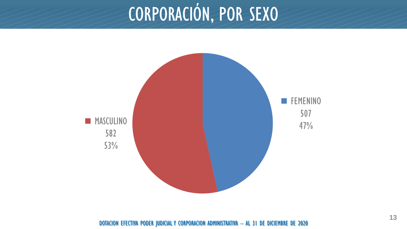# CORPORACIÓN, POR SEXO

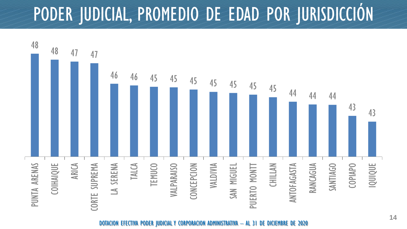## PODER JUDICIAL, PROMEDIO DE EDAD POR JURISDICCIÓN

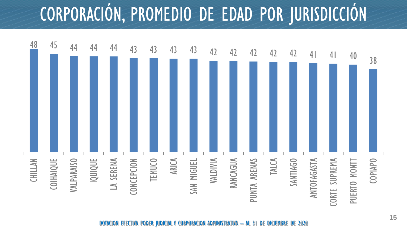# CORPORACIÓN, PROMEDIO DE EDAD POR JURISDICCIÓN

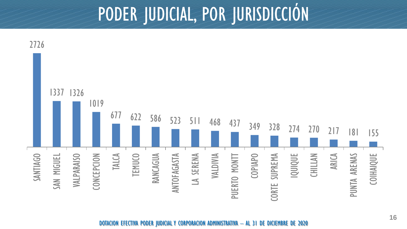#### PODER JUDICIAL, POR JURISDICCIÓN

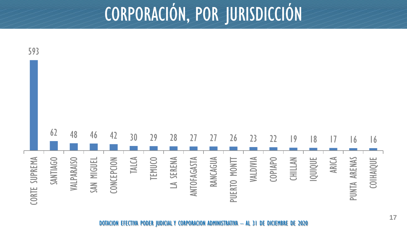## CORPORACIÓN, POR JURISDICCIÓN

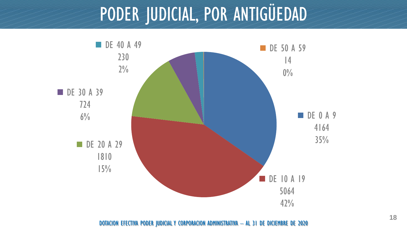#### PODER JUDICIAL, POR ANTIGÜEDAD

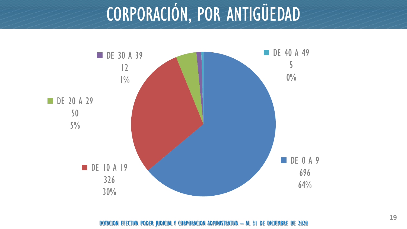## CORPORACIÓN, POR ANTIGÜEDAD

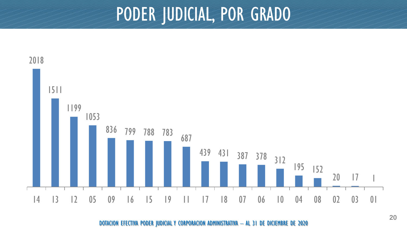#### PODER JUDICIAL, POR GRADO